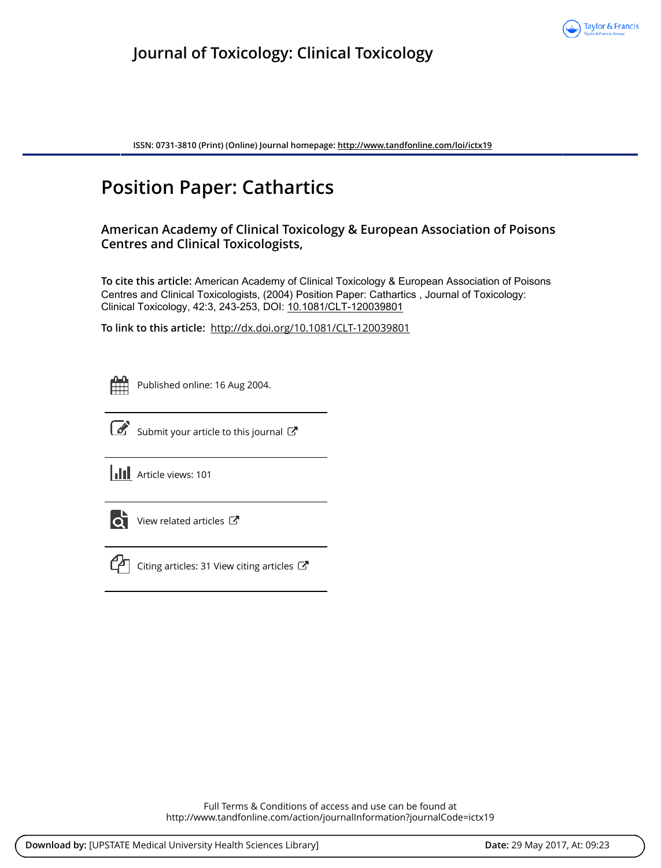

# **Journal of Toxicology: Clinical Toxicology**

**ISSN: 0731-3810 (Print) (Online) Journal homepage:<http://www.tandfonline.com/loi/ictx19>**

# **Position Paper: Cathartics**

**American Academy of Clinical Toxicology & European Association of Poisons Centres and Clinical Toxicologists,**

**To cite this article:** American Academy of Clinical Toxicology & European Association of Poisons Centres and Clinical Toxicologists, (2004) Position Paper: Cathartics , Journal of Toxicology: Clinical Toxicology, 42:3, 243-253, DOI: [10.1081/CLT-120039801](http://www.tandfonline.com/action/showCitFormats?doi=10.1081/CLT-120039801)

**To link to this article:** <http://dx.doi.org/10.1081/CLT-120039801>

| <b>Service Service</b><br><b>Service Service</b> |  |  |  |  |  |  |  |
|--------------------------------------------------|--|--|--|--|--|--|--|
|                                                  |  |  |  |  |  |  |  |
|                                                  |  |  |  |  |  |  |  |
|                                                  |  |  |  |  |  |  |  |

Published online: 16 Aug 2004.



 $\overline{\mathcal{L}}$  [Submit your article to this journal](http://www.tandfonline.com/action/authorSubmission?journalCode=ictx19&show=instructions)  $\overline{\mathcal{L}}$ 





 $\overrightarrow{Q}$  [View related articles](http://www.tandfonline.com/doi/mlt/10.1081/CLT-120039801)  $\overrightarrow{C}$ 



[Citing articles: 31 View citing articles](http://www.tandfonline.com/doi/citedby/10.1081/CLT-120039801#tabModule)  $\mathbb{Z}$ 

Full Terms & Conditions of access and use can be found at <http://www.tandfonline.com/action/journalInformation?journalCode=ictx19>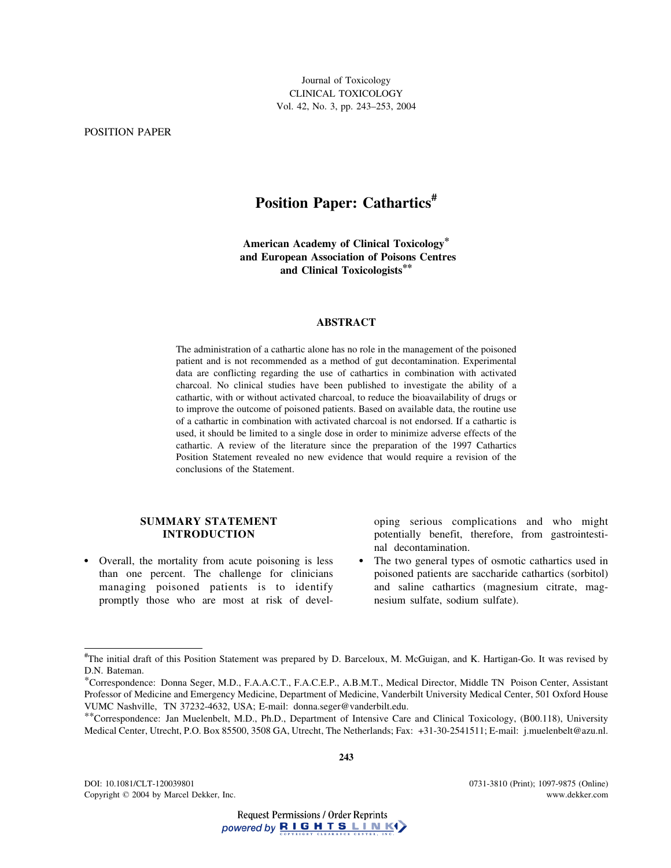POSITION PAPER

# Position Paper: Cathartics<sup>#</sup>

American Academy of Clinical Toxicology\* and European Association of Poisons Centres and Clinical Toxicologists\*\*

#### ABSTRACT

The administration of a cathartic alone has no role in the management of the poisoned patient and is not recommended as a method of gut decontamination. Experimental data are conflicting regarding the use of cathartics in combination with activated charcoal. No clinical studies have been published to investigate the ability of a cathartic, with or without activated charcoal, to reduce the bioavailability of drugs or to improve the outcome of poisoned patients. Based on available data, the routine use of a cathartic in combination with activated charcoal is not endorsed. If a cathartic is used, it should be limited to a single dose in order to minimize adverse effects of the cathartic. A review of the literature since the preparation of the 1997 Cathartics Position Statement revealed no new evidence that would require a revision of the conclusions of the Statement.

# SUMMARY STATEMENT INTRODUCTION

. Overall, the mortality from acute poisoning is less than one percent. The challenge for clinicians managing poisoned patients is to identify promptly those who are most at risk of developing serious complications and who might potentially benefit, therefore, from gastrointestinal decontamination.

. The two general types of osmotic cathartics used in poisoned patients are saccharide cathartics (sorbitol) and saline cathartics (magnesium citrate, magnesium sulfate, sodium sulfate).

243

<sup>#</sup> The initial draft of this Position Statement was prepared by D. Barceloux, M. McGuigan, and K. Hartigan-Go. It was revised by D.N. Bateman.

<sup>\*</sup>Correspondence: Donna Seger, M.D., F.A.A.C.T., F.A.C.E.P., A.B.M.T., Medical Director, Middle TN Poison Center, Assistant Professor of Medicine and Emergency Medicine, Department of Medicine, Vanderbilt University Medical Center, 501 Oxford House VUMC Nashville, TN 37232-4632, USA; E-mail: donna.seger@vanderbilt.edu.

<sup>\*\*</sup>Correspondence: Jan Muelenbelt, M.D., Ph.D., Department of Intensive Care and Clinical Toxicology, (B00.118), University Medical Center, Utrecht, P.O. Box 85500, 3508 GA, Utrecht, The Netherlands; Fax: +31-30-2541511; E-mail: j.muelenbelt@azu.nl.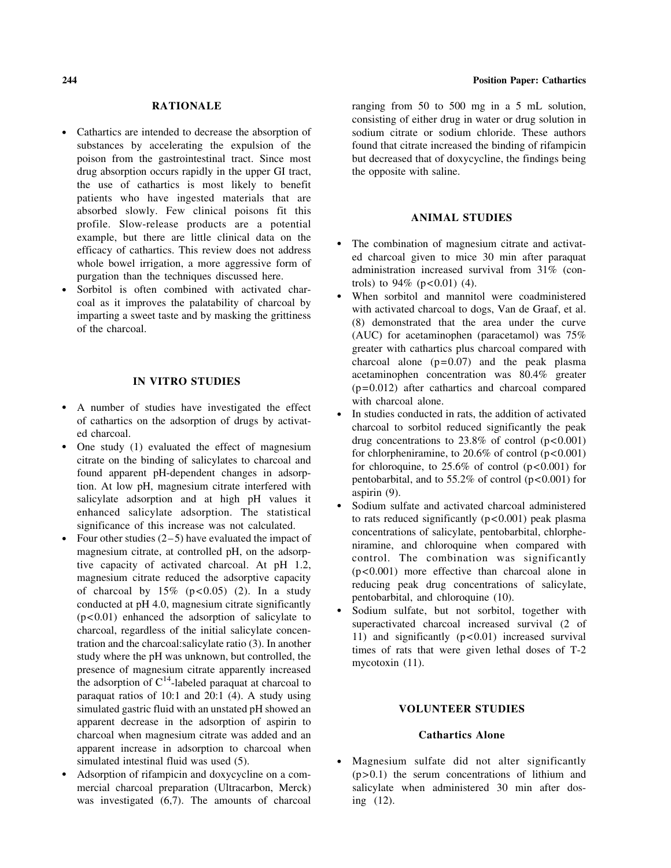### RATIONALE

- . Cathartics are intended to decrease the absorption of substances by accelerating the expulsion of the poison from the gastrointestinal tract. Since most drug absorption occurs rapidly in the upper GI tract, the use of cathartics is most likely to benefit patients who have ingested materials that are absorbed slowly. Few clinical poisons fit this profile. Slow-release products are a potential example, but there are little clinical data on the efficacy of cathartics. This review does not address whole bowel irrigation, a more aggressive form of purgation than the techniques discussed here.
- . Sorbitol is often combined with activated charcoal as it improves the palatability of charcoal by imparting a sweet taste and by masking the grittiness of the charcoal.

# IN VITRO STUDIES

- . A number of studies have investigated the effect of cathartics on the adsorption of drugs by activated charcoal.
- . One study (1) evaluated the effect of magnesium citrate on the binding of salicylates to charcoal and found apparent pH-dependent changes in adsorption. At low pH, magnesium citrate interfered with salicylate adsorption and at high pH values it enhanced salicylate adsorption. The statistical significance of this increase was not calculated.
- Four other studies  $(2-5)$  have evaluated the impact of magnesium citrate, at controlled pH, on the adsorptive capacity of activated charcoal. At pH 1.2, magnesium citrate reduced the adsorptive capacity of charcoal by  $15\%$  ( $p < 0.05$ ) (2). In a study conducted at pH 4.0, magnesium citrate significantly  $(p<0.01)$  enhanced the adsorption of salicylate to charcoal, regardless of the initial salicylate concentration and the charcoal:salicylate ratio (3). In another study where the pH was unknown, but controlled, the presence of magnesium citrate apparently increased the adsorption of  $C^{14}$ -labeled paraquat at charcoal to paraquat ratios of 10:1 and 20:1 (4). A study using simulated gastric fluid with an unstated pH showed an apparent decrease in the adsorption of aspirin to charcoal when magnesium citrate was added and an apparent increase in adsorption to charcoal when simulated intestinal fluid was used (5).
- . Adsorption of rifampicin and doxycycline on a commercial charcoal preparation (Ultracarbon, Merck) was investigated (6,7). The amounts of charcoal

### 244 Position Paper: Cathartics

ranging from 50 to 500 mg in a 5 mL solution, consisting of either drug in water or drug solution in sodium citrate or sodium chloride. These authors found that citrate increased the binding of rifampicin but decreased that of doxycycline, the findings being the opposite with saline.

# ANIMAL STUDIES

- . The combination of magnesium citrate and activated charcoal given to mice 30 min after paraquat administration increased survival from 31% (controls) to  $94\%$  ( $p < 0.01$ ) (4).
- . When sorbitol and mannitol were coadministered with activated charcoal to dogs, Van de Graaf, et al. (8) demonstrated that the area under the curve (AUC) for acetaminophen (paracetamol) was 75% greater with cathartics plus charcoal compared with charcoal alone  $(p= 0.07)$  and the peak plasma acetaminophen concentration was 80.4% greater (p=0.012) after cathartics and charcoal compared with charcoal alone.
- . In studies conducted in rats, the addition of activated charcoal to sorbitol reduced significantly the peak drug concentrations to  $23.8\%$  of control (p<0.001) for chlorpheniramine, to  $20.6\%$  of control (p<0.001) for chloroquine, to  $25.6\%$  of control (p<0.001) for pentobarbital, and to  $55.2\%$  of control (p<0.001) for aspirin (9).
- . Sodium sulfate and activated charcoal administered to rats reduced significantly  $(p<0.001)$  peak plasma concentrations of salicylate, pentobarbital, chlorpheniramine, and chloroquine when compared with control. The combination was significantly (p<0.001) more effective than charcoal alone in reducing peak drug concentrations of salicylate, pentobarbital, and chloroquine (10).
- . Sodium sulfate, but not sorbitol, together with superactivated charcoal increased survival (2 of 11) and significantly (p< 0.01) increased survival times of rats that were given lethal doses of T-2 mycotoxin (11).

# VOLUNTEER STUDIES

# Cathartics Alone

. Magnesium sulfate did not alter significantly  $(p>0.1)$  the serum concentrations of lithium and salicylate when administered 30 min after dosing (12).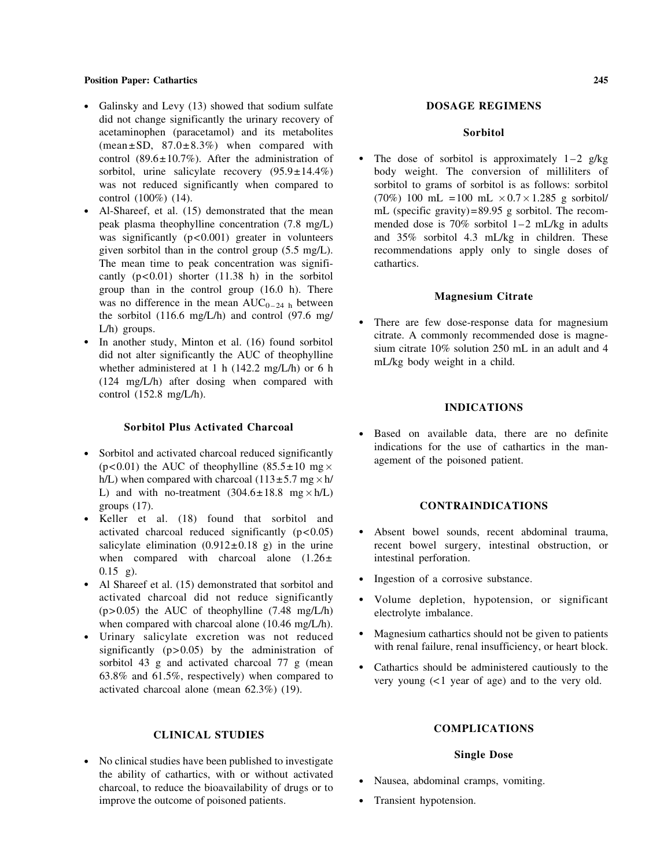#### Position Paper: Cathartics 245

- . Galinsky and Levy (13) showed that sodium sulfate did not change significantly the urinary recovery of acetaminophen (paracetamol) and its metabolites (mean $\pm$ SD, 87.0 $\pm$ 8.3%) when compared with control  $(89.6 \pm 10.7\%)$ . After the administration of sorbitol, urine salicylate recovery  $(95.9 \pm 14.4\%)$ was not reduced significantly when compared to control (100%) (14).
- . Al-Shareef, et al. (15) demonstrated that the mean peak plasma theophylline concentration (7.8 mg/L) was significantly  $(p<0.001)$  greater in volunteers given sorbitol than in the control group (5.5 mg/L). The mean time to peak concentration was significantly  $(p<0.01)$  shorter  $(11.38 \text{ h})$  in the sorbitol group than in the control group (16.0 h). There was no difference in the mean  $AUC_{0-24}$  h between the sorbitol (116.6 mg/L/h) and control (97.6 mg/ L/h) groups.
- In another study, Minton et al. (16) found sorbitol did not alter significantly the AUC of theophylline whether administered at 1 h (142.2 mg/L/h) or 6 h (124 mg/L/h) after dosing when compared with control (152.8 mg/L/h).

# Sorbitol Plus Activated Charcoal

- . Sorbitol and activated charcoal reduced significantly (p<0.01) the AUC of theophylline  $(85.5 \pm 10 \text{ mg} \times$ h/L) when compared with charcoal  $(113 \pm 5.7 \text{ mg} \times \text{h}/$ L) and with no-treatment  $(304.6 \pm 18.8 \text{ mg} \times \text{h/L})$ groups (17).
- . Keller et al. (18) found that sorbitol and activated charcoal reduced significantly  $(p<0.05)$ salicylate elimination  $(0.912 \pm 0.18 \text{ g})$  in the urine when compared with charcoal alone  $(1.26 \pm$  $0.15$  g).
- . Al Shareef et al. (15) demonstrated that sorbitol and activated charcoal did not reduce significantly  $(p>0.05)$  the AUC of theophylline  $(7.48 \text{ mg/L/h})$ when compared with charcoal alone (10.46 mg/L/h).
- . Urinary salicylate excretion was not reduced significantly  $(p>0.05)$  by the administration of sorbitol 43 g and activated charcoal 77 g (mean 63.8% and 61.5%, respectively) when compared to activated charcoal alone (mean 62.3%) (19).

# CLINICAL STUDIES

. No clinical studies have been published to investigate the ability of cathartics, with or without activated charcoal, to reduce the bioavailability of drugs or to improve the outcome of poisoned patients.

#### DOSAGE REGIMENS

#### Sorbitol

The dose of sorbitol is approximately  $1-2$  g/kg body weight. The conversion of milliliters of sorbitol to grams of sorbitol is as follows: sorbitol (70%) 100 mL =100 mL  $\times$  0.7 $\times$  1.285 g sorbitol/ mL (specific gravity)=89.95 g sorbitol. The recommended dose is  $70\%$  sorbitol  $1-2$  mL/kg in adults and 35% sorbitol 4.3 mL/kg in children. These recommendations apply only to single doses of cathartics.

# Magnesium Citrate

. There are few dose-response data for magnesium citrate. A commonly recommended dose is magnesium citrate 10% solution 250 mL in an adult and 4 mL/kg body weight in a child.

#### INDICATIONS

. Based on available data, there are no definite indications for the use of cathartics in the management of the poisoned patient.

# CONTRAINDICATIONS

- . Absent bowel sounds, recent abdominal trauma, recent bowel surgery, intestinal obstruction, or intestinal perforation.
- . Ingestion of a corrosive substance.
- . Volume depletion, hypotension, or significant electrolyte imbalance.
- . Magnesium cathartics should not be given to patients with renal failure, renal insufficiency, or heart block.
- . Cathartics should be administered cautiously to the very young (< 1 year of age) and to the very old.

# COMPLICATIONS

#### Single Dose

- . Nausea, abdominal cramps, vomiting.
- . Transient hypotension.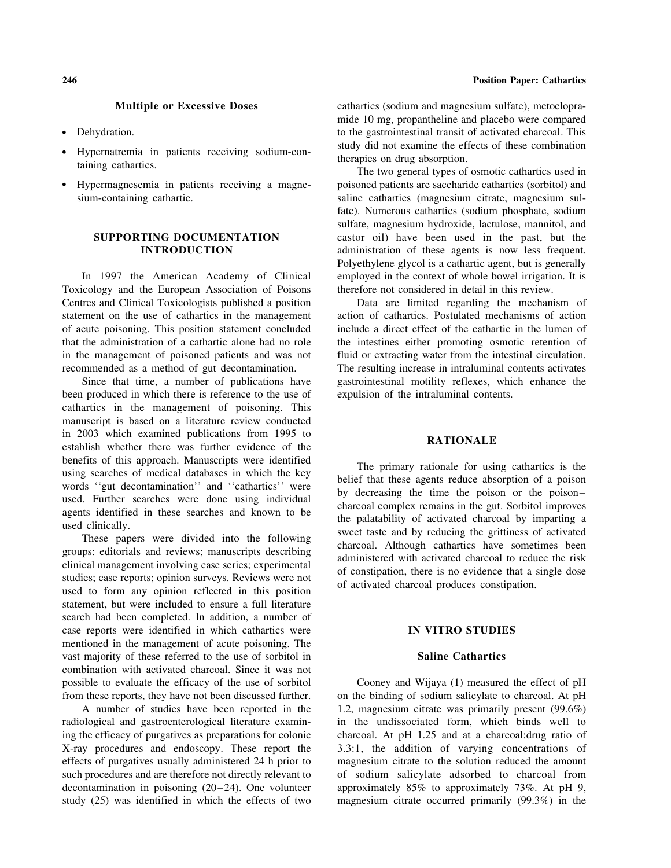## Multiple or Excessive Doses

- . Dehydration.
- . Hypernatremia in patients receiving sodium-containing cathartics.
- . Hypermagnesemia in patients receiving a magnesium-containing cathartic.

# SUPPORTING DOCUMENTATION INTRODUCTION

In 1997 the American Academy of Clinical Toxicology and the European Association of Poisons Centres and Clinical Toxicologists published a position statement on the use of cathartics in the management of acute poisoning. This position statement concluded that the administration of a cathartic alone had no role in the management of poisoned patients and was not recommended as a method of gut decontamination.

Since that time, a number of publications have been produced in which there is reference to the use of cathartics in the management of poisoning. This manuscript is based on a literature review conducted in 2003 which examined publications from 1995 to establish whether there was further evidence of the benefits of this approach. Manuscripts were identified using searches of medical databases in which the key words ''gut decontamination'' and ''cathartics'' were used. Further searches were done using individual agents identified in these searches and known to be used clinically.

These papers were divided into the following groups: editorials and reviews; manuscripts describing clinical management involving case series; experimental studies; case reports; opinion surveys. Reviews were not used to form any opinion reflected in this position statement, but were included to ensure a full literature search had been completed. In addition, a number of case reports were identified in which cathartics were mentioned in the management of acute poisoning. The vast majority of these referred to the use of sorbitol in combination with activated charcoal. Since it was not possible to evaluate the efficacy of the use of sorbitol from these reports, they have not been discussed further.

A number of studies have been reported in the radiological and gastroenterological literature examining the efficacy of purgatives as preparations for colonic X-ray procedures and endoscopy. These report the effects of purgatives usually administered 24 h prior to such procedures and are therefore not directly relevant to decontamination in poisoning  $(20-24)$ . One volunteer study (25) was identified in which the effects of two

#### 246 Position Paper: Cathartics

cathartics (sodium and magnesium sulfate), metoclopramide 10 mg, propantheline and placebo were compared to the gastrointestinal transit of activated charcoal. This study did not examine the effects of these combination therapies on drug absorption.

The two general types of osmotic cathartics used in poisoned patients are saccharide cathartics (sorbitol) and saline cathartics (magnesium citrate, magnesium sulfate). Numerous cathartics (sodium phosphate, sodium sulfate, magnesium hydroxide, lactulose, mannitol, and castor oil) have been used in the past, but the administration of these agents is now less frequent. Polyethylene glycol is a cathartic agent, but is generally employed in the context of whole bowel irrigation. It is therefore not considered in detail in this review.

Data are limited regarding the mechanism of action of cathartics. Postulated mechanisms of action include a direct effect of the cathartic in the lumen of the intestines either promoting osmotic retention of fluid or extracting water from the intestinal circulation. The resulting increase in intraluminal contents activates gastrointestinal motility reflexes, which enhance the expulsion of the intraluminal contents.

# RATIONALE

The primary rationale for using cathartics is the belief that these agents reduce absorption of a poison by decreasing the time the poison or the poison – charcoal complex remains in the gut. Sorbitol improves the palatability of activated charcoal by imparting a sweet taste and by reducing the grittiness of activated charcoal. Although cathartics have sometimes been administered with activated charcoal to reduce the risk of constipation, there is no evidence that a single dose of activated charcoal produces constipation.

#### IN VITRO STUDIES

#### Saline Cathartics

Cooney and Wijaya (1) measured the effect of pH on the binding of sodium salicylate to charcoal. At pH 1.2, magnesium citrate was primarily present (99.6%) in the undissociated form, which binds well to charcoal. At pH 1.25 and at a charcoal:drug ratio of 3.3:1, the addition of varying concentrations of magnesium citrate to the solution reduced the amount of sodium salicylate adsorbed to charcoal from approximately 85% to approximately 73%. At pH 9, magnesium citrate occurred primarily (99.3%) in the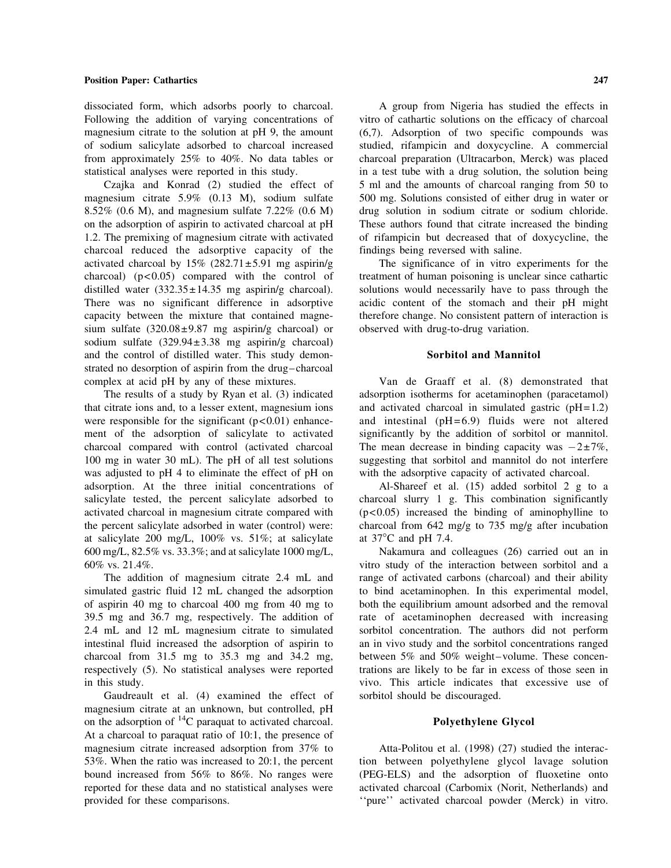#### Position Paper: Cathartics 247

dissociated form, which adsorbs poorly to charcoal. Following the addition of varying concentrations of magnesium citrate to the solution at pH 9, the amount of sodium salicylate adsorbed to charcoal increased from approximately 25% to 40%. No data tables or statistical analyses were reported in this study.

Czajka and Konrad (2) studied the effect of magnesium citrate 5.9% (0.13 M), sodium sulfate 8.52% (0.6 M), and magnesium sulfate 7.22% (0.6 M) on the adsorption of aspirin to activated charcoal at pH 1.2. The premixing of magnesium citrate with activated charcoal reduced the adsorptive capacity of the activated charcoal by  $15\%$  (282.71 $\pm$ 5.91 mg aspirin/g charcoal)  $(p<0.05)$  compared with the control of distilled water  $(332.35 \pm 14.35 \text{ mg}$  aspirin/g charcoal). There was no significant difference in adsorptive capacity between the mixture that contained magnesium sulfate  $(320.08 \pm 9.87 \text{ mg}$  aspirin/g charcoal) or sodium sulfate (329.94±3.38 mg aspirin/g charcoal) and the control of distilled water. This study demonstrated no desorption of aspirin from the drug –charcoal complex at acid pH by any of these mixtures.

The results of a study by Ryan et al. (3) indicated that citrate ions and, to a lesser extent, magnesium ions were responsible for the significant  $(p<0.01)$  enhancement of the adsorption of salicylate to activated charcoal compared with control (activated charcoal 100 mg in water 30 mL). The pH of all test solutions was adjusted to pH 4 to eliminate the effect of pH on adsorption. At the three initial concentrations of salicylate tested, the percent salicylate adsorbed to activated charcoal in magnesium citrate compared with the percent salicylate adsorbed in water (control) were: at salicylate 200 mg/L, 100% vs. 51%; at salicylate 600 mg/L, 82.5% vs. 33.3%; and at salicylate 1000 mg/L, 60% vs. 21.4%.

The addition of magnesium citrate 2.4 mL and simulated gastric fluid 12 mL changed the adsorption of aspirin 40 mg to charcoal 400 mg from 40 mg to 39.5 mg and 36.7 mg, respectively. The addition of 2.4 mL and 12 mL magnesium citrate to simulated intestinal fluid increased the adsorption of aspirin to charcoal from 31.5 mg to 35.3 mg and 34.2 mg, respectively (5). No statistical analyses were reported in this study.

Gaudreault et al. (4) examined the effect of magnesium citrate at an unknown, but controlled, pH on the adsorption of  $^{14}$ C paraquat to activated charcoal. At a charcoal to paraquat ratio of 10:1, the presence of magnesium citrate increased adsorption from 37% to 53%. When the ratio was increased to 20:1, the percent bound increased from 56% to 86%. No ranges were reported for these data and no statistical analyses were provided for these comparisons.

A group from Nigeria has studied the effects in vitro of cathartic solutions on the efficacy of charcoal (6,7). Adsorption of two specific compounds was studied, rifampicin and doxycycline. A commercial charcoal preparation (Ultracarbon, Merck) was placed in a test tube with a drug solution, the solution being 5 ml and the amounts of charcoal ranging from 50 to 500 mg. Solutions consisted of either drug in water or drug solution in sodium citrate or sodium chloride. These authors found that citrate increased the binding of rifampicin but decreased that of doxycycline, the findings being reversed with saline.

The significance of in vitro experiments for the treatment of human poisoning is unclear since cathartic solutions would necessarily have to pass through the acidic content of the stomach and their pH might therefore change. No consistent pattern of interaction is observed with drug-to-drug variation.

#### Sorbitol and Mannitol

Van de Graaff et al. (8) demonstrated that adsorption isotherms for acetaminophen (paracetamol) and activated charcoal in simulated gastric  $(pH=1.2)$ and intestinal  $(pH=6.9)$  fluids were not altered significantly by the addition of sorbitol or mannitol. The mean decrease in binding capacity was  $-2\pm 7\%$ , suggesting that sorbitol and mannitol do not interfere with the adsorptive capacity of activated charcoal.

Al-Shareef et al. (15) added sorbitol 2 g to a charcoal slurry 1 g. This combination significantly (p<0.05) increased the binding of aminophylline to charcoal from 642 mg/g to 735 mg/g after incubation at  $37^{\circ}$ C and pH 7.4.

Nakamura and colleagues (26) carried out an in vitro study of the interaction between sorbitol and a range of activated carbons (charcoal) and their ability to bind acetaminophen. In this experimental model, both the equilibrium amount adsorbed and the removal rate of acetaminophen decreased with increasing sorbitol concentration. The authors did not perform an in vivo study and the sorbitol concentrations ranged between 5% and 50% weight-volume. These concentrations are likely to be far in excess of those seen in vivo. This article indicates that excessive use of sorbitol should be discouraged.

#### Polyethylene Glycol

Atta-Politou et al. (1998) (27) studied the interaction between polyethylene glycol lavage solution (PEG-ELS) and the adsorption of fluoxetine onto activated charcoal (Carbomix (Norit, Netherlands) and ''pure'' activated charcoal powder (Merck) in vitro.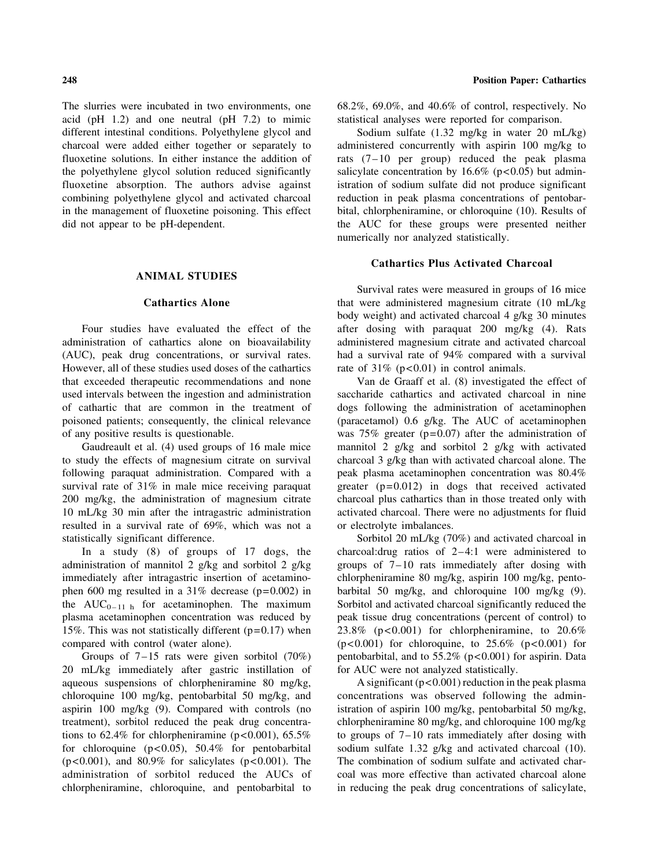The slurries were incubated in two environments, one acid (pH 1.2) and one neutral (pH 7.2) to mimic different intestinal conditions. Polyethylene glycol and charcoal were added either together or separately to fluoxetine solutions. In either instance the addition of the polyethylene glycol solution reduced significantly fluoxetine absorption. The authors advise against combining polyethylene glycol and activated charcoal in the management of fluoxetine poisoning. This effect did not appear to be pH-dependent.

#### ANIMAL STUDIES

#### Cathartics Alone

Four studies have evaluated the effect of the administration of cathartics alone on bioavailability (AUC), peak drug concentrations, or survival rates. However, all of these studies used doses of the cathartics that exceeded therapeutic recommendations and none used intervals between the ingestion and administration of cathartic that are common in the treatment of poisoned patients; consequently, the clinical relevance of any positive results is questionable.

Gaudreault et al. (4) used groups of 16 male mice to study the effects of magnesium citrate on survival following paraquat administration. Compared with a survival rate of 31% in male mice receiving paraquat 200 mg/kg, the administration of magnesium citrate 10 mL/kg 30 min after the intragastric administration resulted in a survival rate of 69%, which was not a statistically significant difference.

In a study (8) of groups of 17 dogs, the administration of mannitol 2 g/kg and sorbitol 2 g/kg immediately after intragastric insertion of acetaminophen 600 mg resulted in a 31% decrease ( $p=0.002$ ) in the  $AUC_{0-11}$  h for acetaminophen. The maximum plasma acetaminophen concentration was reduced by 15%. This was not statistically different  $(p=0.17)$  when compared with control (water alone).

Groups of  $7-15$  rats were given sorbitol (70%) 20 mL/kg immediately after gastric instillation of aqueous suspensions of chlorpheniramine 80 mg/kg, chloroquine 100 mg/kg, pentobarbital 50 mg/kg, and aspirin 100 mg/kg (9). Compared with controls (no treatment), sorbitol reduced the peak drug concentrations to 62.4% for chlorpheniramine ( $p<0.001$ ), 65.5% for chloroquine  $(p<0.05)$ , 50.4% for pentobarbital  $(p<0.001)$ , and 80.9% for salicylates  $(p<0.001)$ . The administration of sorbitol reduced the AUCs of chlorpheniramine, chloroquine, and pentobarbital to

68.2%, 69.0%, and 40.6% of control, respectively. No statistical analyses were reported for comparison.

Sodium sulfate (1.32 mg/kg in water 20 mL/kg) administered concurrently with aspirin 100 mg/kg to rats  $(7-10)$  per group) reduced the peak plasma salicylate concentration by  $16.6\%$  (p<0.05) but administration of sodium sulfate did not produce significant reduction in peak plasma concentrations of pentobarbital, chlorpheniramine, or chloroquine (10). Results of the AUC for these groups were presented neither numerically nor analyzed statistically.

#### Cathartics Plus Activated Charcoal

Survival rates were measured in groups of 16 mice that were administered magnesium citrate (10 mL/kg body weight) and activated charcoal 4 g/kg 30 minutes after dosing with paraquat 200 mg/kg (4). Rats administered magnesium citrate and activated charcoal had a survival rate of 94% compared with a survival rate of  $31\%$  (p<0.01) in control animals.

Van de Graaff et al. (8) investigated the effect of saccharide cathartics and activated charcoal in nine dogs following the administration of acetaminophen (paracetamol) 0.6 g/kg. The AUC of acetaminophen was  $75\%$  greater (p=0.07) after the administration of mannitol 2 g/kg and sorbitol 2 g/kg with activated charcoal 3 g/kg than with activated charcoal alone. The peak plasma acetaminophen concentration was 80.4% greater  $(p= 0.012)$  in dogs that received activated charcoal plus cathartics than in those treated only with activated charcoal. There were no adjustments for fluid or electrolyte imbalances.

Sorbitol 20 mL/kg (70%) and activated charcoal in charcoal: drug ratios of  $2-4:1$  were administered to groups of  $7-10$  rats immediately after dosing with chlorpheniramine 80 mg/kg, aspirin 100 mg/kg, pentobarbital 50 mg/kg, and chloroquine 100 mg/kg (9). Sorbitol and activated charcoal significantly reduced the peak tissue drug concentrations (percent of control) to 23.8% ( $p < 0.001$ ) for chlorpheniramine, to 20.6%  $(p<0.001)$  for chloroquine, to 25.6%  $(p<0.001)$  for pentobarbital, and to  $55.2\%$  (p<0.001) for aspirin. Data for AUC were not analyzed statistically.

A significant  $(p<0.001)$  reduction in the peak plasma concentrations was observed following the administration of aspirin 100 mg/kg, pentobarbital 50 mg/kg, chlorpheniramine 80 mg/kg, and chloroquine 100 mg/kg to groups of 7– 10 rats immediately after dosing with sodium sulfate 1.32 g/kg and activated charcoal (10). The combination of sodium sulfate and activated charcoal was more effective than activated charcoal alone in reducing the peak drug concentrations of salicylate,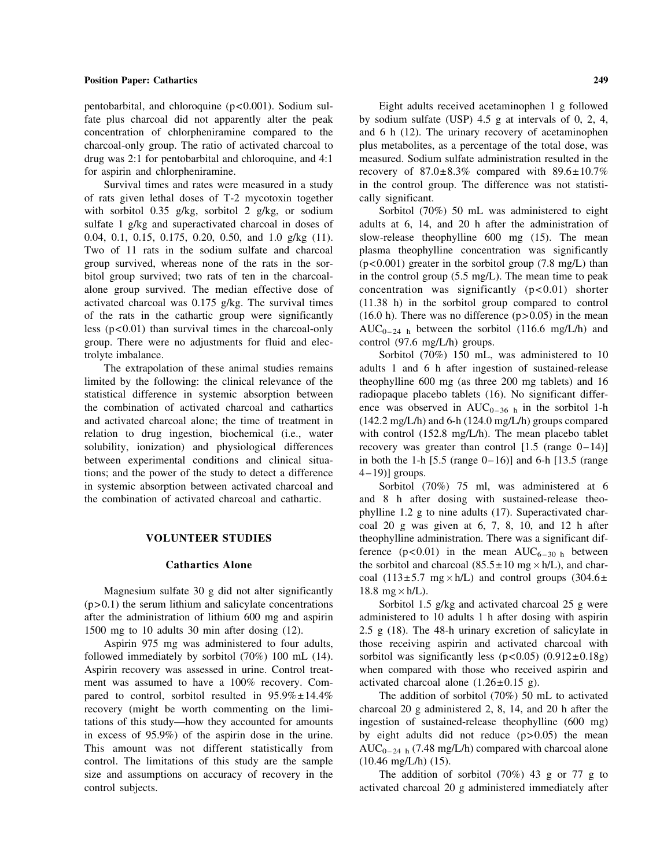#### Position Paper: Cathartics 249

pentobarbital, and chloroquine (p< 0.001). Sodium sulfate plus charcoal did not apparently alter the peak concentration of chlorpheniramine compared to the charcoal-only group. The ratio of activated charcoal to drug was 2:1 for pentobarbital and chloroquine, and 4:1 for aspirin and chlorpheniramine.

Survival times and rates were measured in a study of rats given lethal doses of T-2 mycotoxin together with sorbitol 0.35 g/kg, sorbitol 2 g/kg, or sodium sulfate 1 g/kg and superactivated charcoal in doses of 0.04, 0.1, 0.15, 0.175, 0.20, 0.50, and 1.0 g/kg (11). Two of 11 rats in the sodium sulfate and charcoal group survived, whereas none of the rats in the sorbitol group survived; two rats of ten in the charcoalalone group survived. The median effective dose of activated charcoal was 0.175 g/kg. The survival times of the rats in the cathartic group were significantly less  $(p<0.01)$  than survival times in the charcoal-only group. There were no adjustments for fluid and electrolyte imbalance.

The extrapolation of these animal studies remains limited by the following: the clinical relevance of the statistical difference in systemic absorption between the combination of activated charcoal and cathartics and activated charcoal alone; the time of treatment in relation to drug ingestion, biochemical (i.e., water solubility, ionization) and physiological differences between experimental conditions and clinical situations; and the power of the study to detect a difference in systemic absorption between activated charcoal and the combination of activated charcoal and cathartic.

#### VOLUNTEER STUDIES

#### Cathartics Alone

Magnesium sulfate 30 g did not alter significantly  $(p>0.1)$  the serum lithium and salicylate concentrations after the administration of lithium 600 mg and aspirin 1500 mg to 10 adults 30 min after dosing (12).

Aspirin 975 mg was administered to four adults, followed immediately by sorbitol (70%) 100 mL (14). Aspirin recovery was assessed in urine. Control treatment was assumed to have a 100% recovery. Compared to control, sorbitol resulted in  $95.9\% \pm 14.4\%$ recovery (might be worth commenting on the limitations of this study—how they accounted for amounts in excess of 95.9%) of the aspirin dose in the urine. This amount was not different statistically from control. The limitations of this study are the sample size and assumptions on accuracy of recovery in the control subjects.

Eight adults received acetaminophen 1 g followed by sodium sulfate (USP) 4.5 g at intervals of 0, 2, 4, and 6 h (12). The urinary recovery of acetaminophen plus metabolites, as a percentage of the total dose, was measured. Sodium sulfate administration resulted in the recovery of  $87.0 \pm 8.3\%$  compared with  $89.6 \pm 10.7\%$ in the control group. The difference was not statistically significant.

Sorbitol (70%) 50 mL was administered to eight adults at 6, 14, and 20 h after the administration of slow-release theophylline 600 mg (15). The mean plasma theophylline concentration was significantly  $(p<0.001)$  greater in the sorbitol group (7.8 mg/L) than in the control group (5.5 mg/L). The mean time to peak concentration was significantly  $(p<0.01)$  shorter (11.38 h) in the sorbitol group compared to control  $(16.0 h)$ . There was no difference  $(p>0.05)$  in the mean  $AUC_{0-24}$  h between the sorbitol (116.6 mg/L/h) and control (97.6 mg/L/h) groups.

Sorbitol (70%) 150 mL, was administered to 10 adults 1 and 6 h after ingestion of sustained-release theophylline 600 mg (as three 200 mg tablets) and 16 radiopaque placebo tablets (16). No significant difference was observed in  $AUC_{0-36}$  h in the sorbitol 1-h (142.2 mg/L/h) and 6-h (124.0 mg/L/h) groups compared with control (152.8 mg/L/h). The mean placebo tablet recovery was greater than control  $[1.5$  (range  $0-14$ )] in both the 1-h  $[5.5$  (range 0–16)] and 6-h  $[13.5$  (range  $(4-19)$ ] groups.

Sorbitol (70%) 75 ml, was administered at 6 and 8 h after dosing with sustained-release theophylline 1.2 g to nine adults (17). Superactivated charcoal 20 g was given at 6, 7, 8, 10, and 12 h after theophylline administration. There was a significant difference ( $p < 0.01$ ) in the mean AUC<sub>6-30 h</sub> between the sorbitol and charcoal  $(85.5 \pm 10 \text{ mg} \times \text{h/L})$ , and charcoal (113 $\pm$ 5.7 mg $\times$ h/L) and control groups (304.6 $\pm$ 18.8 mg $\times$ h/L).

Sorbitol 1.5 g/kg and activated charcoal 25 g were administered to 10 adults 1 h after dosing with aspirin 2.5 g (18). The 48-h urinary excretion of salicylate in those receiving aspirin and activated charcoal with sorbitol was significantly less ( $p < 0.05$ ) ( $0.912 \pm 0.18$ g) when compared with those who received aspirin and activated charcoal alone  $(1.26 \pm 0.15 \text{ g})$ .

The addition of sorbitol (70%) 50 mL to activated charcoal 20 g administered 2, 8, 14, and 20 h after the ingestion of sustained-release theophylline (600 mg) by eight adults did not reduce (p>0.05) the mean  $AUC_{0-24 h}$  (7.48 mg/L/h) compared with charcoal alone (10.46 mg/L/h) (15).

The addition of sorbitol (70%) 43 g or 77 g to activated charcoal 20 g administered immediately after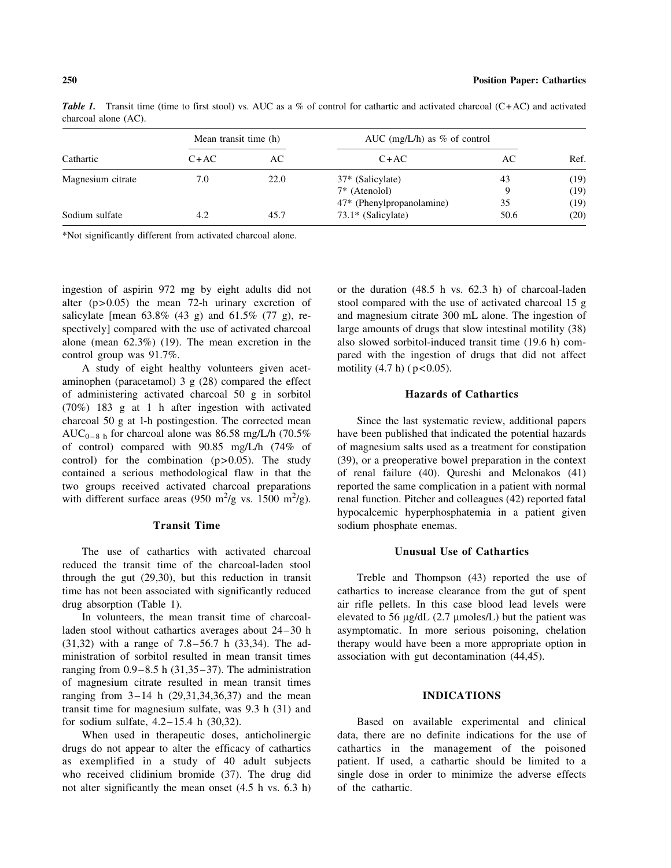| Cathartic         | Mean transit time (h) |      | AUC (mg/L/h) as $%$ of control |      |      |
|-------------------|-----------------------|------|--------------------------------|------|------|
|                   | $C+AC$                | AC   | $C+AC$                         | AC   | Ref. |
| Magnesium citrate | 7.0                   | 22.0 | 37* (Salicylate)               | 43   | (19) |
|                   |                       |      | 7* (Atenolol)                  | Q.   | (19) |
|                   |                       |      | 47* (Phenylpropanolamine)      | 35   | (19) |
| Sodium sulfate    | 4.2                   | 45.7 | $73.1*$ (Salicylate)           | 50.6 | (20) |

**Table 1.** Transit time (time to first stool) vs. AUC as a % of control for cathartic and activated charcoal  $(C + AC)$  and activated charcoal alone (AC).

\*Not significantly different from activated charcoal alone.

ingestion of aspirin 972 mg by eight adults did not alter  $(p>0.05)$  the mean 72-h urinary excretion of salicylate [mean 63.8% (43 g) and 61.5% (77 g), respectively] compared with the use of activated charcoal alone (mean 62.3%) (19). The mean excretion in the control group was 91.7%.

A study of eight healthy volunteers given acetaminophen (paracetamol) 3 g (28) compared the effect of administering activated charcoal 50 g in sorbitol (70%) 183 g at 1 h after ingestion with activated charcoal 50 g at 1-h postingestion. The corrected mean  $AUC_{0-8 h}$  for charcoal alone was 86.58 mg/L/h (70.5%) of control) compared with 90.85 mg/L/h (74% of control) for the combination  $(p>0.05)$ . The study contained a serious methodological flaw in that the two groups received activated charcoal preparations with different surface areas (950 m<sup>2</sup>/g vs. 1500 m<sup>2</sup>/g).

#### Transit Time

The use of cathartics with activated charcoal reduced the transit time of the charcoal-laden stool through the gut (29,30), but this reduction in transit time has not been associated with significantly reduced drug absorption (Table 1).

In volunteers, the mean transit time of charcoalladen stool without cathartics averages about 24–30 h (31,32) with a range of 7.8 –56.7 h (33,34). The administration of sorbitol resulted in mean transit times ranging from  $0.9 - 8.5$  h  $(31,35 - 37)$ . The administration of magnesium citrate resulted in mean transit times ranging from  $3-14$  h (29,31,34,36,37) and the mean transit time for magnesium sulfate, was 9.3 h (31) and for sodium sulfate,  $4.2 - 15.4$  h  $(30,32)$ .

When used in therapeutic doses, anticholinergic drugs do not appear to alter the efficacy of cathartics as exemplified in a study of 40 adult subjects who received clidinium bromide (37). The drug did not alter significantly the mean onset (4.5 h vs. 6.3 h)

or the duration (48.5 h vs. 62.3 h) of charcoal-laden stool compared with the use of activated charcoal 15 g and magnesium citrate 300 mL alone. The ingestion of large amounts of drugs that slow intestinal motility (38) also slowed sorbitol-induced transit time (19.6 h) compared with the ingestion of drugs that did not affect motility  $(4.7 h)$  ( $p < 0.05$ ).

#### Hazards of Cathartics

Since the last systematic review, additional papers have been published that indicated the potential hazards of magnesium salts used as a treatment for constipation (39), or a preoperative bowel preparation in the context of renal failure (40). Qureshi and Melonakos (41) reported the same complication in a patient with normal renal function. Pitcher and colleagues (42) reported fatal hypocalcemic hyperphosphatemia in a patient given sodium phosphate enemas.

#### Unusual Use of Cathartics

Treble and Thompson (43) reported the use of cathartics to increase clearance from the gut of spent air rifle pellets. In this case blood lead levels were elevated to 56  $\mu$ g/dL (2.7  $\mu$ moles/L) but the patient was asymptomatic. In more serious poisoning, chelation therapy would have been a more appropriate option in association with gut decontamination (44,45).

#### INDICATIONS

Based on available experimental and clinical data, there are no definite indications for the use of cathartics in the management of the poisoned patient. If used, a cathartic should be limited to a single dose in order to minimize the adverse effects of the cathartic.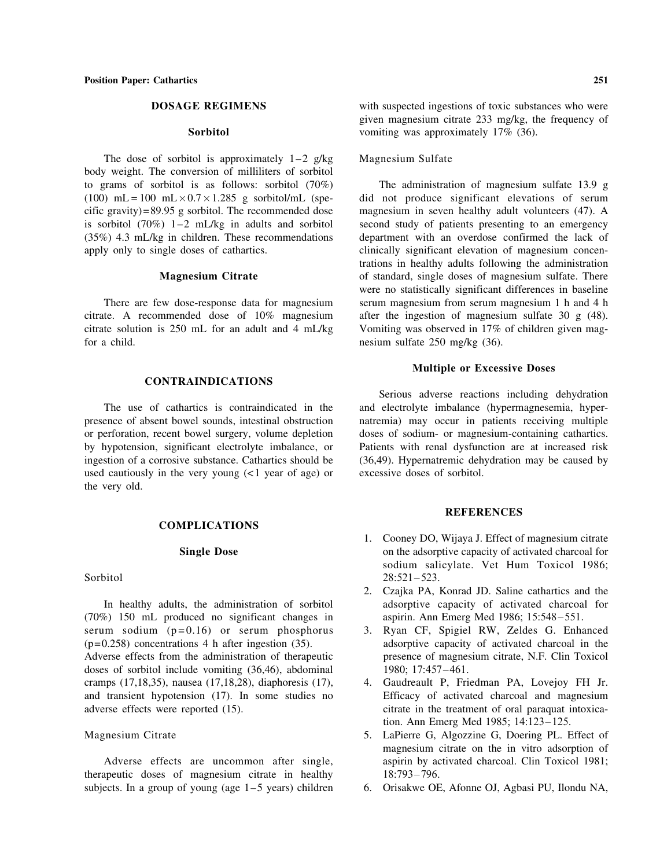## DOSAGE REGIMENS

# Sorbitol

The dose of sorbitol is approximately  $1-2$  g/kg body weight. The conversion of milliliters of sorbitol to grams of sorbitol is as follows: sorbitol (70%) (100) mL = 100 mL  $\times$  0.7  $\times$  1.285 g sorbitol/mL (specific gravity)=89.95 g sorbitol. The recommended dose is sorbitol  $(70\%)$  1-2 mL/kg in adults and sorbitol (35%) 4.3 mL/kg in children. These recommendations apply only to single doses of cathartics.

#### Magnesium Citrate

There are few dose-response data for magnesium citrate. A recommended dose of 10% magnesium citrate solution is 250 mL for an adult and 4 mL/kg for a child.

# CONTRAINDICATIONS

The use of cathartics is contraindicated in the presence of absent bowel sounds, intestinal obstruction or perforation, recent bowel surgery, volume depletion by hypotension, significant electrolyte imbalance, or ingestion of a corrosive substance. Cathartics should be used cautiously in the very young  $(1$  year of age) or the very old.

#### COMPLICATIONS

#### Single Dose

# Sorbitol

In healthy adults, the administration of sorbitol (70%) 150 mL produced no significant changes in serum sodium  $(p= 0.16)$  or serum phosphorus  $(p= 0.258)$  concentrations 4 h after ingestion (35). Adverse effects from the administration of therapeutic doses of sorbitol include vomiting (36,46), abdominal cramps (17,18,35), nausea (17,18,28), diaphoresis (17), and transient hypotension (17). In some studies no adverse effects were reported (15).

# Magnesium Citrate

Adverse effects are uncommon after single, therapeutic doses of magnesium citrate in healthy subjects. In a group of young (age  $1-5$  years) children with suspected ingestions of toxic substances who were given magnesium citrate 233 mg/kg, the frequency of vomiting was approximately 17% (36).

#### Magnesium Sulfate

The administration of magnesium sulfate 13.9 g did not produce significant elevations of serum magnesium in seven healthy adult volunteers (47). A second study of patients presenting to an emergency department with an overdose confirmed the lack of clinically significant elevation of magnesium concentrations in healthy adults following the administration of standard, single doses of magnesium sulfate. There were no statistically significant differences in baseline serum magnesium from serum magnesium 1 h and 4 h after the ingestion of magnesium sulfate 30 g (48). Vomiting was observed in 17% of children given magnesium sulfate 250 mg/kg (36).

#### Multiple or Excessive Doses

Serious adverse reactions including dehydration and electrolyte imbalance (hypermagnesemia, hypernatremia) may occur in patients receiving multiple doses of sodium- or magnesium-containing cathartics. Patients with renal dysfunction are at increased risk (36,49). Hypernatremic dehydration may be caused by excessive doses of sorbitol.

# **REFERENCES**

- 1. Cooney DO, Wijaya J. Effect of magnesium citrate on the adsorptive capacity of activated charcoal for sodium salicylate. Vet Hum Toxicol 1986; 28:521 – 523.
- 2. Czajka PA, Konrad JD. Saline cathartics and the adsorptive capacity of activated charcoal for aspirin. Ann Emerg Med 1986; 15:548 – 551.
- 3. Ryan CF, Spigiel RW, Zeldes G. Enhanced adsorptive capacity of activated charcoal in the presence of magnesium citrate, N.F. Clin Toxicol 1980; 17:457 – 461.
- 4. Gaudreault P, Friedman PA, Lovejoy FH Jr. Efficacy of activated charcoal and magnesium citrate in the treatment of oral paraquat intoxication. Ann Emerg Med 1985; 14:123-125.
- 5. LaPierre G, Algozzine G, Doering PL. Effect of magnesium citrate on the in vitro adsorption of aspirin by activated charcoal. Clin Toxicol 1981; 18:793 – 796.
- 6. Orisakwe OE, Afonne OJ, Agbasi PU, Ilondu NA,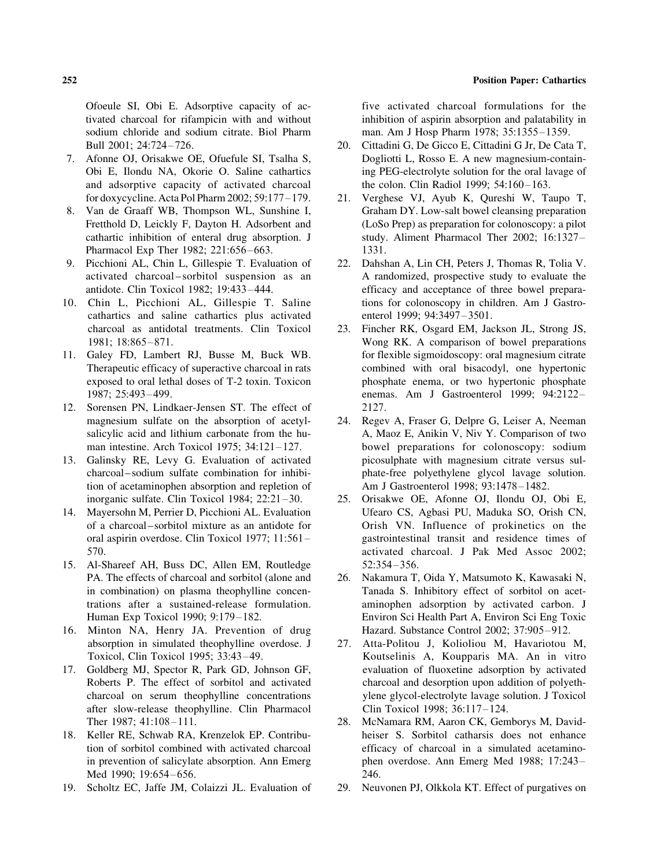Ofoeule SI, Obi E. Adsorptive capacity of activated charcoal for rifampicin with and without sodium chloride and sodium citrate. Biol Pharm Bull 2001; 24:724 –726.

- 7. Afonne OJ, Orisakwe OE, Ofuefule SI, Tsalha S, Obi E, Ilondu NA, Okorie O. Saline cathartics and adsorptive capacity of activated charcoal for doxycycline. Acta Pol Pharm 2002; 59:177 –179.
- 8. Van de Graaff WB, Thompson WL, Sunshine I, Fretthold D, Leickly F, Dayton H. Adsorbent and cathartic inhibition of enteral drug absorption. J Pharmacol Exp Ther 1982; 221:656-663.
- 9. Picchioni AL, Chin L, Gillespie T. Evaluation of activated charcoal – sorbitol suspension as an antidote. Clin Toxicol 1982; 19:433 –444.
- 10. Chin L, Picchioni AL, Gillespie T. Saline cathartics and saline cathartics plus activated charcoal as antidotal treatments. Clin Toxicol 1981; 18:865 –871.
- 11. Galey FD, Lambert RJ, Busse M, Buck WB. Therapeutic efficacy of superactive charcoal in rats exposed to oral lethal doses of T-2 toxin. Toxicon 1987; 25:493 – 499.
- 12. Sorensen PN, Lindkaer-Jensen ST. The effect of magnesium sulfate on the absorption of acetylsalicylic acid and lithium carbonate from the human intestine. Arch Toxicol 1975; 34:121 – 127.
- 13. Galinsky RE, Levy G. Evaluation of activated charcoal – sodium sulfate combination for inhibition of acetaminophen absorption and repletion of inorganic sulfate. Clin Toxicol 1984; 22:21 – 30.
- 14. Mayersohn M, Perrier D, Picchioni AL. Evaluation of a charcoal – sorbitol mixture as an antidote for oral aspirin overdose. Clin Toxicol 1977; 11:561 – 570.
- 15. Al-Shareef AH, Buss DC, Allen EM, Routledge PA. The effects of charcoal and sorbitol (alone and in combination) on plasma theophylline concentrations after a sustained-release formulation. Human Exp Toxicol 1990; 9:179 –182.
- 16. Minton NA, Henry JA. Prevention of drug absorption in simulated theophylline overdose. J Toxicol, Clin Toxicol 1995; 33:43 – 49.
- 17. Goldberg MJ, Spector R, Park GD, Johnson GF, Roberts P. The effect of sorbitol and activated charcoal on serum theophylline concentrations after slow-release theophylline. Clin Pharmacol Ther 1987; 41:108-111.
- 18. Keller RE, Schwab RA, Krenzelok EP. Contribution of sorbitol combined with activated charcoal in prevention of salicylate absorption. Ann Emerg Med 1990; 19:654-656.
- 19. Scholtz EC, Jaffe JM, Colaizzi JL. Evaluation of

five activated charcoal formulations for the inhibition of aspirin absorption and palatability in man. Am J Hosp Pharm 1978; 35:1355-1359.

- 20. Cittadini G, De Gicco E, Cittadini G Jr, De Cata T, Dogliotti L, Rosso E. A new magnesium-containing PEG-electrolyte solution for the oral lavage of the colon. Clin Radiol 1999; 54:160-163.
- 21. Verghese VJ, Ayub K, Qureshi W, Taupo T, Graham DY. Low-salt bowel cleansing preparation (LoSo Prep) as preparation for colonoscopy: a pilot study. Aliment Pharmacol Ther 2002; 16:1327 – 1331.
- 22. Dahshan A, Lin CH, Peters J, Thomas R, Tolia V. A randomized, prospective study to evaluate the efficacy and acceptance of three bowel preparations for colonoscopy in children. Am J Gastroenterol 1999; 94:3497-3501.
- 23. Fincher RK, Osgard EM, Jackson JL, Strong JS, Wong RK. A comparison of bowel preparations for flexible sigmoidoscopy: oral magnesium citrate combined with oral bisacodyl, one hypertonic phosphate enema, or two hypertonic phosphate enemas. Am J Gastroenterol 1999; 94:2122-2127.
- 24. Regev A, Fraser G, Delpre G, Leiser A, Neeman A, Maoz E, Anikin V, Niv Y. Comparison of two bowel preparations for colonoscopy: sodium picosulphate with magnesium citrate versus sulphate-free polyethylene glycol lavage solution. Am J Gastroenterol 1998; 93:1478-1482.
- 25. Orisakwe OE, Afonne OJ, Ilondu OJ, Obi E, Ufearo CS, Agbasi PU, Maduka SO, Orish CN, Orish VN. Influence of prokinetics on the gastrointestinal transit and residence times of activated charcoal. J Pak Med Assoc 2002; 52:354 – 356.
- 26. Nakamura T, Oida Y, Matsumoto K, Kawasaki N, Tanada S. Inhibitory effect of sorbitol on acetaminophen adsorption by activated carbon. J Environ Sci Health Part A, Environ Sci Eng Toxic Hazard. Substance Control 2002; 37:905 – 912.
- 27. Atta-Politou J, Kolioliou M, Havariotou M, Koutselinis A, Koupparis MA. An in vitro evaluation of fluoxetine adsorption by activated charcoal and desorption upon addition of polyethylene glycol-electrolyte lavage solution. J Toxicol Clin Toxicol 1998; 36:117-124.
- 28. McNamara RM, Aaron CK, Gemborys M, Davidheiser S. Sorbitol catharsis does not enhance efficacy of charcoal in a simulated acetaminophen overdose. Ann Emerg Med 1988; 17:243 – 246.
- 29. Neuvonen PJ, Olkkola KT. Effect of purgatives on